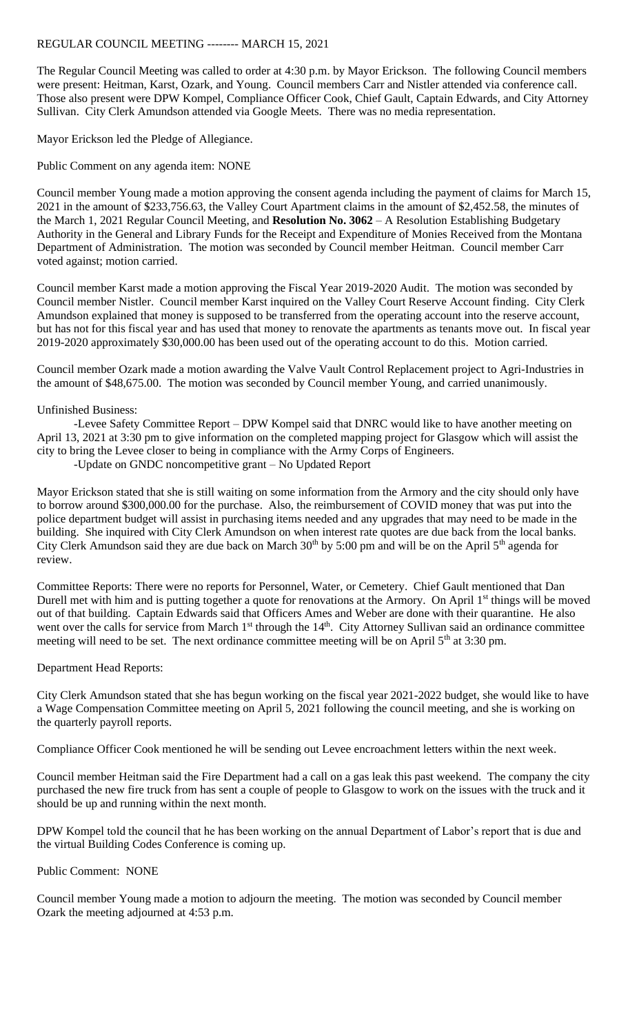## REGULAR COUNCIL MEETING -------- MARCH 15, 2021

The Regular Council Meeting was called to order at 4:30 p.m. by Mayor Erickson. The following Council members were present: Heitman, Karst, Ozark, and Young. Council members Carr and Nistler attended via conference call. Those also present were DPW Kompel, Compliance Officer Cook, Chief Gault, Captain Edwards, and City Attorney Sullivan. City Clerk Amundson attended via Google Meets. There was no media representation.

Mayor Erickson led the Pledge of Allegiance.

Public Comment on any agenda item: NONE

Council member Young made a motion approving the consent agenda including the payment of claims for March 15, 2021 in the amount of \$233,756.63, the Valley Court Apartment claims in the amount of \$2,452.58, the minutes of the March 1, 2021 Regular Council Meeting, and **Resolution No. 3062** – A Resolution Establishing Budgetary Authority in the General and Library Funds for the Receipt and Expenditure of Monies Received from the Montana Department of Administration. The motion was seconded by Council member Heitman. Council member Carr voted against; motion carried.

Council member Karst made a motion approving the Fiscal Year 2019-2020 Audit. The motion was seconded by Council member Nistler. Council member Karst inquired on the Valley Court Reserve Account finding. City Clerk Amundson explained that money is supposed to be transferred from the operating account into the reserve account, but has not for this fiscal year and has used that money to renovate the apartments as tenants move out. In fiscal year 2019-2020 approximately \$30,000.00 has been used out of the operating account to do this. Motion carried.

Council member Ozark made a motion awarding the Valve Vault Control Replacement project to Agri-Industries in the amount of \$48,675.00. The motion was seconded by Council member Young, and carried unanimously.

## Unfinished Business:

-Levee Safety Committee Report – DPW Kompel said that DNRC would like to have another meeting on April 13, 2021 at 3:30 pm to give information on the completed mapping project for Glasgow which will assist the city to bring the Levee closer to being in compliance with the Army Corps of Engineers.

-Update on GNDC noncompetitive grant – No Updated Report

Mayor Erickson stated that she is still waiting on some information from the Armory and the city should only have to borrow around \$300,000.00 for the purchase. Also, the reimbursement of COVID money that was put into the police department budget will assist in purchasing items needed and any upgrades that may need to be made in the building. She inquired with City Clerk Amundson on when interest rate quotes are due back from the local banks. City Clerk Amundson said they are due back on March  $30<sup>th</sup>$  by 5:00 pm and will be on the April  $5<sup>th</sup>$  agenda for review.

Committee Reports: There were no reports for Personnel, Water, or Cemetery. Chief Gault mentioned that Dan Durell met with him and is putting together a quote for renovations at the Armory. On April 1<sup>st</sup> things will be moved out of that building. Captain Edwards said that Officers Ames and Weber are done with their quarantine. He also went over the calls for service from March 1<sup>st</sup> through the 14<sup>th</sup>. City Attorney Sullivan said an ordinance committee meeting will need to be set. The next ordinance committee meeting will be on April 5<sup>th</sup> at 3:30 pm.

## Department Head Reports:

City Clerk Amundson stated that she has begun working on the fiscal year 2021-2022 budget, she would like to have a Wage Compensation Committee meeting on April 5, 2021 following the council meeting, and she is working on the quarterly payroll reports.

Compliance Officer Cook mentioned he will be sending out Levee encroachment letters within the next week.

Council member Heitman said the Fire Department had a call on a gas leak this past weekend. The company the city purchased the new fire truck from has sent a couple of people to Glasgow to work on the issues with the truck and it should be up and running within the next month.

DPW Kompel told the council that he has been working on the annual Department of Labor's report that is due and the virtual Building Codes Conference is coming up.

## Public Comment: NONE

Council member Young made a motion to adjourn the meeting. The motion was seconded by Council member Ozark the meeting adjourned at 4:53 p.m.